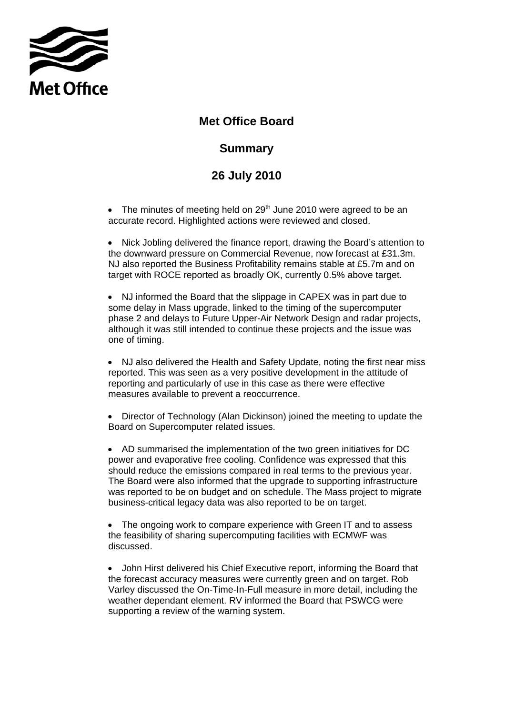

## **Met Office Board**

## **Summary**

## **26 July 2010**

• The minutes of meeting held on  $29<sup>th</sup>$  June 2010 were agreed to be an accurate record. Highlighted actions were reviewed and closed.

• Nick Jobling delivered the finance report, drawing the Board's attention to the downward pressure on Commercial Revenue, now forecast at £31.3m. NJ also reported the Business Profitability remains stable at £5.7m and on target with ROCE reported as broadly OK, currently 0.5% above target.

• NJ informed the Board that the slippage in CAPEX was in part due to some delay in Mass upgrade, linked to the timing of the supercomputer phase 2 and delays to Future Upper-Air Network Design and radar projects, although it was still intended to continue these projects and the issue was one of timing.

• NJ also delivered the Health and Safety Update, noting the first near miss reported. This was seen as a very positive development in the attitude of reporting and particularly of use in this case as there were effective measures available to prevent a reoccurrence.

• Director of Technology (Alan Dickinson) joined the meeting to update the Board on Supercomputer related issues.

• AD summarised the implementation of the two green initiatives for DC power and evaporative free cooling. Confidence was expressed that this should reduce the emissions compared in real terms to the previous year. The Board were also informed that the upgrade to supporting infrastructure was reported to be on budget and on schedule. The Mass project to migrate business-critical legacy data was also reported to be on target.

• The ongoing work to compare experience with Green IT and to assess the feasibility of sharing supercomputing facilities with ECMWF was discussed.

• John Hirst delivered his Chief Executive report, informing the Board that the forecast accuracy measures were currently green and on target. Rob Varley discussed the On-Time-In-Full measure in more detail, including the weather dependant element. RV informed the Board that PSWCG were supporting a review of the warning system.